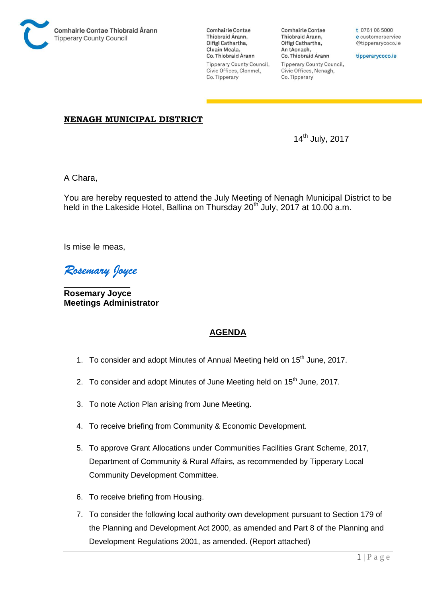

**Comhairle Contae** Thiobraid Árann, Oifigí Cathartha, Cluain Meala, Co. Thiobraid Árann Tipperary County Council, Civic Offices, Clonmel, Co. Tipperary

**Comhairle Contae** Thiobraid Árann, Oifigí Cathartha, An tAonach, Co. Thiobraid Árann **Tipperary County Council,** Civic Offices, Nenagh, Co. Tipperary

t 0761 06 5000 e customerservice @tipperarycoco.ie

tipperarycoco.ie

## **NENAGH MUNICIPAL DISTRICT**

14th July, 2017

A Chara,

You are hereby requested to attend the July Meeting of Nenagh Municipal District to be held in the Lakeside Hotel, Ballina on Thursday 20<sup>th</sup> July, 2017 at 10.00 a.m.

Is mise le meas,

*Rosemary Joyce* 

\_\_\_\_\_\_\_\_\_\_\_\_\_\_ **Rosemary Joyce Meetings Administrator** 

## **AGENDA**

- 1. To consider and adopt Minutes of Annual Meeting held on 15<sup>th</sup> June, 2017.
- 2. To consider and adopt Minutes of June Meeting held on 15<sup>th</sup> June. 2017.
- 3. To note Action Plan arising from June Meeting.
- 4. To receive briefing from Community & Economic Development.
- 5. To approve Grant Allocations under Communities Facilities Grant Scheme, 2017, Department of Community & Rural Affairs, as recommended by Tipperary Local Community Development Committee.
- 6. To receive briefing from Housing.
- 7. To consider the following local authority own development pursuant to Section 179 of the Planning and Development Act 2000, as amended and Part 8 of the Planning and Development Regulations 2001, as amended. (Report attached)